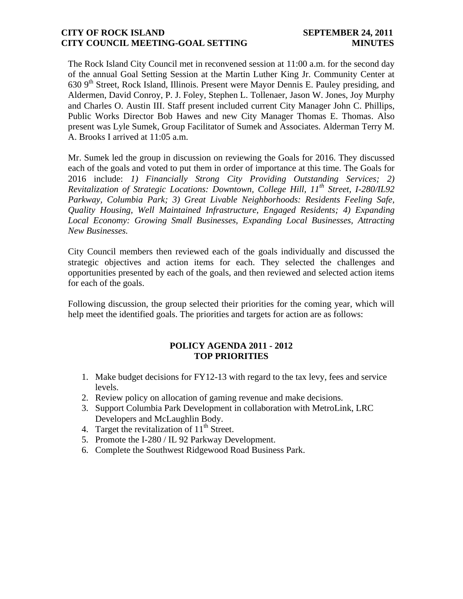#### **CITY OF ROCK ISLAND SEPTEMBER 24, 2011 CITY COUNCIL MEETING-GOAL SETTING MINUTES**

The Rock Island City Council met in reconvened session at 11:00 a.m. for the second day of the annual Goal Setting Session at the Martin Luther King Jr. Community Center at 630 9<sup>th</sup> Street, Rock Island, Illinois. Present were Mayor Dennis E. Pauley presiding, and Aldermen, David Conroy, P. J. Foley, Stephen L. Tollenaer, Jason W. Jones, Joy Murphy and Charles O. Austin III. Staff present included current City Manager John C. Phillips, Public Works Director Bob Hawes and new City Manager Thomas E. Thomas. Also present was Lyle Sumek, Group Facilitator of Sumek and Associates. Alderman Terry M. A. Brooks I arrived at 11:05 a.m.

Mr. Sumek led the group in discussion on reviewing the Goals for 2016. They discussed each of the goals and voted to put them in order of importance at this time. The Goals for 2016 include: *1) Financially Strong City Providing Outstanding Services; 2) Revitalization of Strategic Locations: Downtown, College Hill, 11th Street, I-280/IL92 Parkway, Columbia Park; 3) Great Livable Neighborhoods: Residents Feeling Safe, Quality Housing, Well Maintained Infrastructure, Engaged Residents; 4) Expanding Local Economy: Growing Small Businesses, Expanding Local Businesses, Attracting New Businesses.*

City Council members then reviewed each of the goals individually and discussed the strategic objectives and action items for each. They selected the challenges and opportunities presented by each of the goals, and then reviewed and selected action items for each of the goals.

Following discussion, the group selected their priorities for the coming year, which will help meet the identified goals. The priorities and targets for action are as follows:

## **POLICY AGENDA 2011 - 2012 TOP PRIORITIES**

- 1. Make budget decisions for FY12-13 with regard to the tax levy, fees and service levels.
- 2. Review policy on allocation of gaming revenue and make decisions.
- 3. Support Columbia Park Development in collaboration with MetroLink, LRC Developers and McLaughlin Body.
- 4. Target the revitalization of  $11^{th}$  Street.
- 5. Promote the I-280 / IL 92 Parkway Development.
- 6. Complete the Southwest Ridgewood Road Business Park.